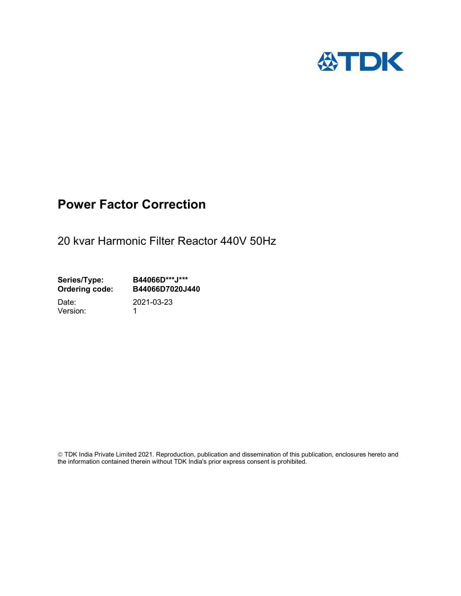

## Power Factor Correction

20 kvar Harmonic Filter Reactor 440V 50Hz

Series/Type: B44066D\*\*\*J\*\*\* Ordering code: B44066D7020J440

Version: 1

Date: 2021-03-23

 TDK India Private Limited 2021. Reproduction, publication and dissemination of this publication, enclosures hereto and the information contained therein without TDK India's prior express consent is prohibited.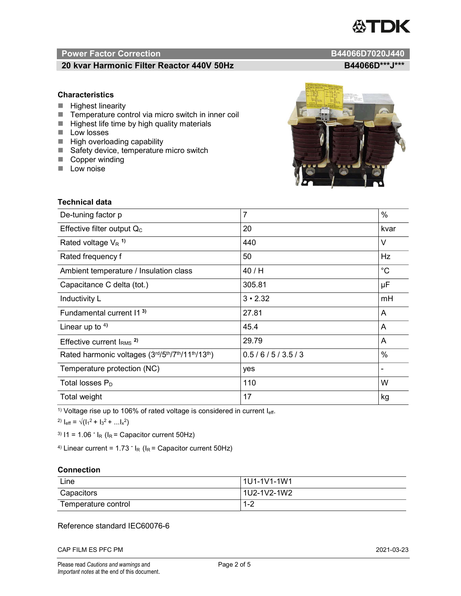# TDK

### Power Factor Correction and Contraction B44066D7020J440

#### 20 kvar Harmonic Filter Reactor 440V 50Hz B44066D\*\*\*J\*\*\*

#### **Characteristics**

- $\blacksquare$  Highest linearity
- Temperature control via micro switch in inner coil
- $\blacksquare$  Highest life time by high quality materials
- **Low losses**
- $\blacksquare$  High overloading capability
- Safety device, temperature micro switch
- Copper winding
- **Low noise**

| Technical data                                  |                |             |  |
|-------------------------------------------------|----------------|-------------|--|
| De-tuning factor p                              | $\overline{7}$ | %           |  |
| Effective filter output $Q_C$                   | 20             | kvar        |  |
| Rated voltage $V_R$ <sup>1)</sup>               | 440            | V           |  |
| Rated frequency f                               | 50             | Hz          |  |
| Ambient temperature / Insulation class          | 40/H           | $^{\circ}C$ |  |
| Capacitance C delta (tot.)                      | 305.81         | μF          |  |
| Inductivity L                                   | $3 \cdot 2.32$ | mH          |  |
| Fundamental current 11 <sup>3)</sup>            | 27.81          | A           |  |
| Linear up to $4$ )                              | 45.4           | A           |  |
| Effective current $IRMS$ <sup>2)</sup>          | 29.79          | A           |  |
| Rated harmonic voltages (3rd/5th/7th/11th/13th) | 0.5/6/5/3.5/3  | %           |  |
| Temperature protection (NC)                     | yes            |             |  |
| Total losses $P_D$                              | 110            | W           |  |
| Total weight                                    | 17             | kg          |  |

<sup>1)</sup> Voltage rise up to 106% of rated voltage is considered in current  $I_{\text{eff}}$ .

<sup>2)</sup>  $I_{eff} = \sqrt{(I_1^2 + I_3^2 + ... I_x^2)}$ 

<sup>3)</sup>  $11 = 1.06$   $\cdot$   $I_R$  ( $I_R$  = Capacitor current 50Hz)

<sup>4)</sup> Linear current =  $1.73$   $\cdot$  I<sub>R</sub> (I<sub>R</sub> = Capacitor current 50Hz)

#### **Connection**

| Line                | l 1U1-1V1-1W1                        |
|---------------------|--------------------------------------|
| Capacitors          | l 1U2-1V2-1W2                        |
| Temperature control | ⌒<br>$\overline{\phantom{a}}$<br>1-4 |

#### Reference standard IEC60076-6

CAP FILM ES PFC PM 2021-03-23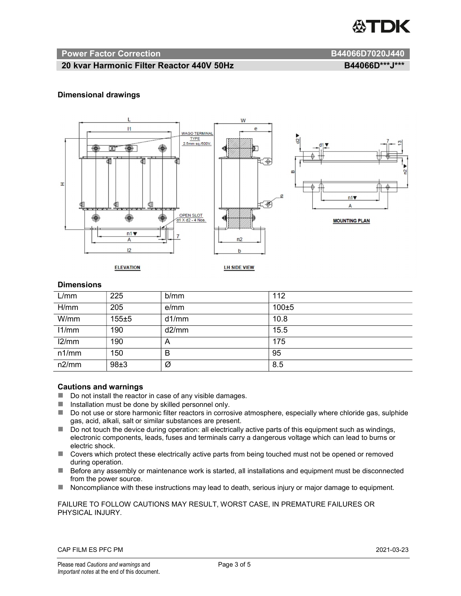

#### Power Factor Correction and B44066D7020J440

#### 20 kvar Harmonic Filter Reactor 440V 50Hz B44066D\*\*\*J\*\*\*

#### Dimensional drawings



#### **Dimensions**

| L/mm  | 225   | b/mm  | 112       |
|-------|-------|-------|-----------|
| H/mm  | 205   | e/mm  | $100 + 5$ |
| W/mm  | 155±5 | d1/mm | 10.8      |
| 11/mm | 190   | d2/mm | 15.5      |
| 12/mm | 190   | A     | 175       |
| n1/mm | 150   | B     | 95        |
| n2/mm | 98±3  | Ø     | 8.5       |

#### Cautions and warnings

- Do not install the reactor in case of any visible damages.
- $\blacksquare$  Installation must be done by skilled personnel only.
- Do not use or store harmonic filter reactors in corrosive atmosphere, especially where chloride gas, sulphide gas, acid, alkali, salt or similar substances are present.
- $\Box$  Do not touch the device during operation: all electrically active parts of this equipment such as windings, electronic components, leads, fuses and terminals carry a dangerous voltage which can lead to burns or electric shock.
- Covers which protect these electrically active parts from being touched must not be opened or removed during operation.
- Before any assembly or maintenance work is started, all installations and equipment must be disconnected from the power source.
- Noncompliance with these instructions may lead to death, serious injury or major damage to equipment.

#### FAILURE TO FOLLOW CAUTIONS MAY RESULT, WORST CASE, IN PREMATURE FAILURES OR PHYSICAL INJURY.

#### CAP FILM ES PFC PM 2021-03-23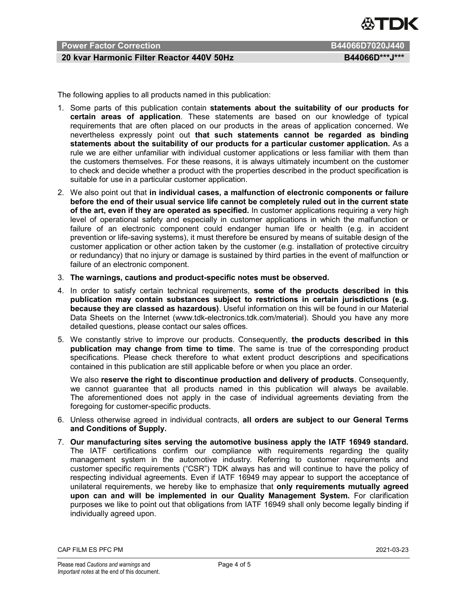

### Power Factor Correction **B44066D7020J440**

#### 20 kvar Harmonic Filter Reactor 440V 50Hz B44066D\*\*\*J\*\*\*

The following applies to all products named in this publication:

- 1. Some parts of this publication contain statements about the suitability of our products for certain areas of application. These statements are based on our knowledge of typical requirements that are often placed on our products in the areas of application concerned. We nevertheless expressly point out that such statements cannot be regarded as binding statements about the suitability of our products for a particular customer application. As a rule we are either unfamiliar with individual customer applications or less familiar with them than the customers themselves. For these reasons, it is always ultimately incumbent on the customer to check and decide whether a product with the properties described in the product specification is suitable for use in a particular customer application.
- 2. We also point out that in individual cases, a malfunction of electronic components or failure before the end of their usual service life cannot be completely ruled out in the current state of the art, even if they are operated as specified. In customer applications requiring a very high level of operational safety and especially in customer applications in which the malfunction or failure of an electronic component could endanger human life or health (e.g. in accident prevention or life-saving systems), it must therefore be ensured by means of suitable design of the customer application or other action taken by the customer (e.g. installation of protective circuitry or redundancy) that no injury or damage is sustained by third parties in the event of malfunction or failure of an electronic component.
- 3. The warnings, cautions and product-specific notes must be observed.
- 4. In order to satisfy certain technical requirements, some of the products described in this publication may contain substances subject to restrictions in certain jurisdictions (e.g. because they are classed as hazardous). Useful information on this will be found in our Material Data Sheets on the Internet (www.tdk-electronics.tdk.com/material). Should you have any more detailed questions, please contact our sales offices.
- 5. We constantly strive to improve our products. Consequently, the products described in this publication may change from time to time. The same is true of the corresponding product specifications. Please check therefore to what extent product descriptions and specifications contained in this publication are still applicable before or when you place an order.

We also reserve the right to discontinue production and delivery of products. Consequently, we cannot guarantee that all products named in this publication will always be available. The aforementioned does not apply in the case of individual agreements deviating from the foregoing for customer-specific products.

- 6. Unless otherwise agreed in individual contracts, all orders are subject to our General Terms and Conditions of Supply.
- 7. Our manufacturing sites serving the automotive business apply the IATF 16949 standard. The IATF certifications confirm our compliance with requirements regarding the quality management system in the automotive industry. Referring to customer requirements and customer specific requirements ("CSR") TDK always has and will continue to have the policy of respecting individual agreements. Even if IATF 16949 may appear to support the acceptance of unilateral requirements, we hereby like to emphasize that only requirements mutually agreed upon can and will be implemented in our Quality Management System. For clarification purposes we like to point out that obligations from IATF 16949 shall only become legally binding if individually agreed upon.